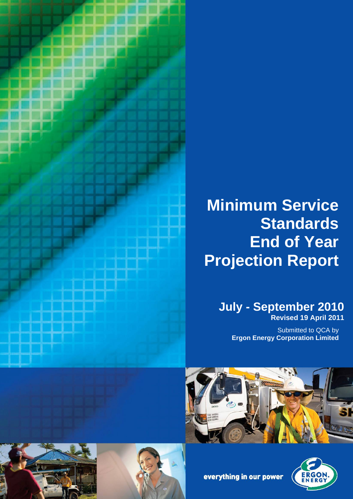

# **Minimum Service Standards End of Year Projection Report**

# **July - September 2010 Revised 19 April 2011**

Submitted to QCA by **Ergon Energy Corporation Limited**





everything in our power



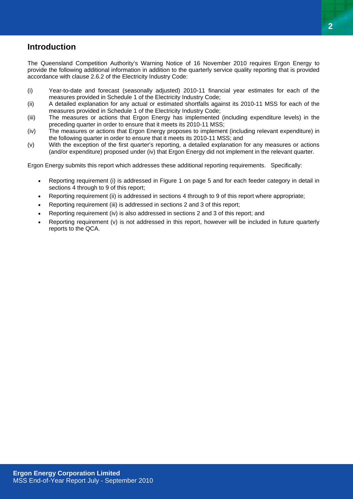# **Introduction**

The Queensland Competition Authority's Warning Notice of 16 November 2010 requires Ergon Energy to provide the following additional information in addition to the quarterly service quality reporting that is provided accordance with clause 2.6.2 of the Electricity Industry Code:

- (i) Year-to-date and forecast (seasonally adjusted) 2010-11 financial year estimates for each of the measures provided in Schedule 1 of the Electricity Industry Code;
- (ii) A detailed explanation for any actual or estimated shortfalls against its 2010-11 MSS for each of the measures provided in Schedule 1 of the Electricity Industry Code;
- (iii) The measures or actions that Ergon Energy has implemented (including expenditure levels) in the preceding quarter in order to ensure that it meets its 2010-11 MSS;
- (iv) The measures or actions that Ergon Energy proposes to implement (including relevant expenditure) in the following quarter in order to ensure that it meets its 2010-11 MSS; and
- (v) With the exception of the first quarter's reporting, a detailed explanation for any measures or actions (and/or expenditure) proposed under (iv) that Ergon Energy did not implement in the relevant quarter.

Ergon Energy submits this report which addresses these additional reporting requirements. Specifically:

- Reporting requirement (i) is addressed in Figure 1 on page 5 and for each feeder category in detail in sections 4 through to 9 of this report;
- Reporting requirement (ii) is addressed in sections 4 through to 9 of this report where appropriate;
- Reporting requirement (iii) is addressed in sections 2 and 3 of this report;
- Reporting requirement (iv) is also addressed in sections 2 and 3 of this report; and
- Reporting requirement (v) is not addressed in this report, however will be included in future quarterly reports to the QCA.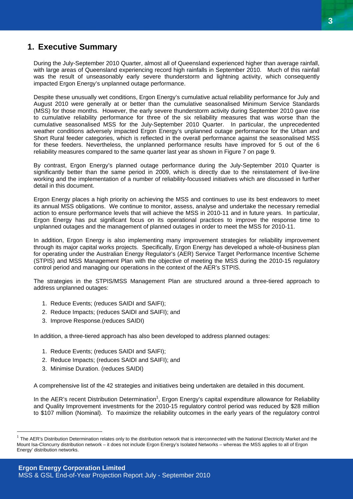# **1. Executive Summary**

During the July-September 2010 Quarter, almost all of Queensland experienced higher than average rainfall, with large areas of Queensland experiencing record high rainfalls in September 2010. Much of this rainfall was the result of unseasonably early severe thunderstorm and lightning activity, which consequently impacted Ergon Energy's unplanned outage performance.

Despite these unusually wet conditions, Ergon Energy's cumulative actual reliability performance for July and August 2010 were generally at or better than the cumulative seasonalised Minimum Service Standards (MSS) for those months. However, the early severe thunderstorm activity during September 2010 gave rise to cumulative reliability performance for three of the six reliability measures that was worse than the cumulative seasonalised MSS for the July-September 2010 Quarter. In particular, the unprecedented weather conditions adversely impacted Ergon Energy's unplanned outage performance for the Urban and Short Rural feeder categories, which is reflected in the overall performance against the seasonalised MSS for these feeders. Nevertheless, the unplanned performance results have improved for 5 out of the 6 reliability measures compared to the same quarter last year as shown in Figure 7 on page 9.

By contrast, Ergon Energy's planned outage performance during the July-September 2010 Quarter is significantly better than the same period in 2009, which is directly due to the reinstatement of live-line working and the implementation of a number of reliability-focussed initiatives which are discussed in further detail in this document.

Ergon Energy places a high priority on achieving the MSS and continues to use its best endeavors to meet its annual MSS obligations. We continue to monitor, assess, analyse and undertake the necessary remedial action to ensure performance levels that will achieve the MSS in 2010-11 and in future years. In particular, Ergon Energy has put significant focus on its operational practices to improve the response time to unplanned outages and the management of planned outages in order to meet the MSS for 2010-11.

In addition, Ergon Energy is also implementing many improvement strategies for reliability improvement through its major capital works projects. Specifically, Ergon Energy has developed a whole-of-business plan for operating under the Australian Energy Regulator's (AER) Service Target Performance Incentive Scheme (STPIS) and MSS Management Plan with the objective of meeting the MSS during the 2010-15 regulatory control period and managing our operations in the context of the AER's STPIS.

The strategies in the STPIS/MSS Management Plan are structured around a three-tiered approach to address unplanned outages:

- 1. Reduce Events; (reduces SAIDI and SAIFI);
- 2. Reduce Impacts; (reduces SAIDI and SAIFI); and
- 3. Improve Response.(reduces SAIDI)

In addition, a three-tiered approach has also been developed to address planned outages:

- 1. Reduce Events; (reduces SAIDI and SAIFI);
- 2. Reduce Impacts; (reduces SAIDI and SAIFI); and
- 3. Minimise Duration. (reduces SAIDI)

 $\overline{a}$ 

A comprehensive list of the 42 strategies and initiatives being undertaken are detailed in this document.

In the AER's recent Distribution Determination<sup>1</sup>, Ergon Energy's capital expenditure allowance for Reliability and Quality Improvement investments for the 2010-15 regulatory control period was reduced by \$28 million to \$107 million (Nominal). To maximize the reliability outcomes in the early years of the regulatory control

<sup>1</sup> The AER's Distribution Determination relates only to the distribution network that is interconnected with the National Electricity Market and the Mount Isa-Cloncurry distribution network – it does not include Ergon Energy's Isolated Networks – whereas the MSS applies to all of Ergon Energy' distribution networks.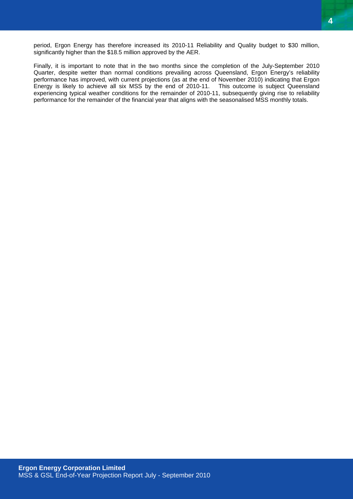Finally, it is important to note that in the two months since the completion of the July-September 2010 Quarter, despite wetter than normal conditions prevailing across Queensland, Ergon Energy's reliability performance has improved, with current projections (as at the end of November 2010) indicating that Ergon Energy is likely to achieve all six MSS by the end of 2010-11. This outcome is subject Queensland experiencing typical weather conditions for the remainder of 2010-11, subsequently giving rise to reliability performance for the remainder of the financial year that aligns with the seasonalised MSS monthly totals.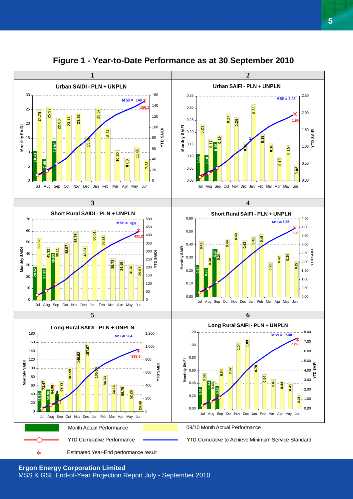

**Figure 1 - Year-to-Date Performance as at 30 September 2010**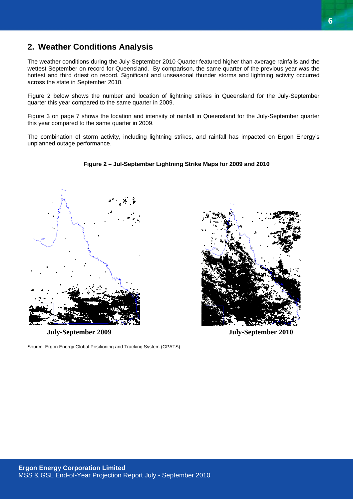# **2. Weather Conditions Analysis**

The weather conditions during the July-September 2010 Quarter featured higher than average rainfalls and the wettest September on record for Queensland. By comparison, the same quarter of the previous year was the hottest and third driest on record. Significant and unseasonal thunder storms and lightning activity occurred across the state in September 2010.

Figure 2 below shows the number and location of lightning strikes in Queensland for the July-September quarter this year compared to the same quarter in 2009.

Figure 3 on page 7 shows the location and intensity of rainfall in Queensland for the July-September quarter this year compared to the same quarter in 2009.

The combination of storm activity, including lightning strikes, and rainfall has impacted on Ergon Energy's unplanned outage performance.

**Figure 2 – Jul-September Lightning Strike Maps for 2009 and 2010**



**July-September 2009 July-September 2010** 

Source: Ergon Energy Global Positioning and Tracking System (GPATS)

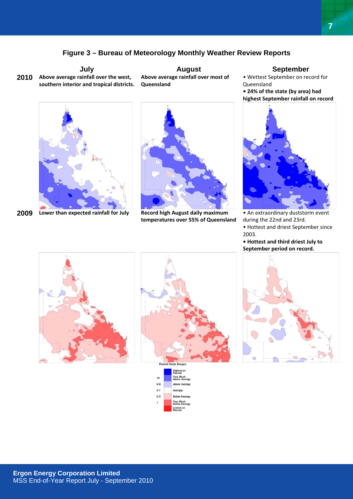## **Figure 3 – Bureau of Meteorology Monthly Weather Review Reports**

**Above average rainfall over the west, 2010 southern interior and tropical districts.**

**July Constructed August August September Above average rainfall over most of Queensland**



**Lower than expected rainfall for July Record high August daily maximum 2009** 



**temperatures over 55% of Queensland**

• Wettest September on record for Queensland **• 24% of the state (by area) had**

**highest September rainfall on record**



• An extraordinary duststorm event during the 22nd and 23rd.

• Hottest and driest September since 2003.

**• Hottest and third driest July to September period on record.**







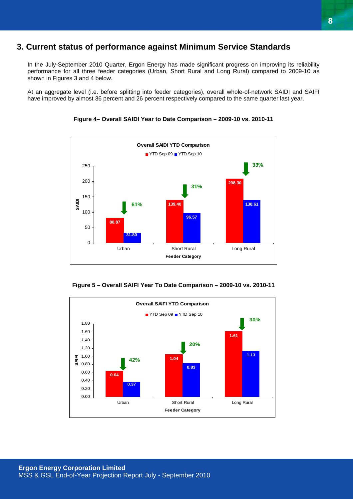# **3. Current status of performance against Minimum Service Standards**

In the July-September 2010 Quarter, Ergon Energy has made significant progress on improving its reliability performance for all three feeder categories (Urban, Short Rural and Long Rural) compared to 2009-10 as shown in Figures 3 and 4 below.

At an aggregate level (i.e. before splitting into feeder categories), overall whole-of-network SAIDI and SAIFI have improved by almost 36 percent and 26 percent respectively compared to the same quarter last year.





**Figure 5 – Overall SAIFI Year To Date Comparison – 2009-10 vs. 2010-11** 

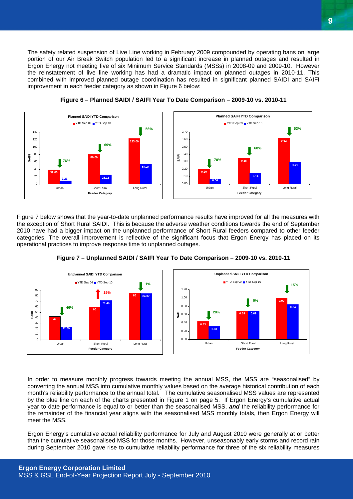The safety related suspension of Live Line working in February 2009 compounded by operating bans on large portion of our Air Break Switch population led to a significant increase in planned outages and resulted in Ergon Energy not meeting five of six Minimum Service Standards (MSSs) in 2008-09 and 2009-10. However the reinstatement of live line working has had a dramatic impact on planned outages in 2010-11. This combined with improved planned outage coordination has resulted in significant planned SAIDI and SAIFI improvement in each feeder category as shown in Figure 6 below:





**Figure 6 – Planned SAIDI / SAIFI Year To Date Comparison – 2009-10 vs. 2010-11** 

Figure 7 below shows that the year-to-date unplanned performance results have improved for all the measures with the exception of Short Rural SAIDI. This is because the adverse weather conditions towards the end of September 2010 have had a bigger impact on the unplanned performance of Short Rural feeders compared to other feeder categories. The overall improvement is reflective of the significant focus that Ergon Energy has placed on its operational practices to improve response time to unplanned outages.







In order to measure monthly progress towards meeting the annual MSS, the MSS are "seasonalised" by converting the annual MSS into cumulative monthly values based on the average historical contribution of each month's reliability performance to the annual total. The cumulative seasonalised MSS values are represented by the blue line on each of the charts presented in Figure 1 on page 5. If Ergon Energy's cumulative actual year to date performance is equal to or better than the seasonalised MSS, *and* the reliability performance for the remainder of the financial year aligns with the seasonalised MSS monthly totals, then Ergon Energy will meet the MSS.

Ergon Energy's cumulative actual reliability performance for July and August 2010 were generally at or better than the cumulative seasonalised MSS for those months. However, unseasonably early storms and record rain during September 2010 gave rise to cumulative reliability performance for three of the six reliability measures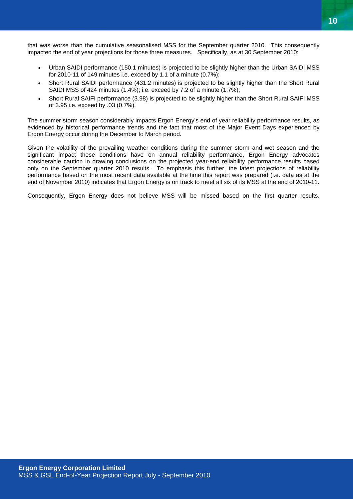

that was worse than the cumulative seasonalised MSS for the September quarter 2010. This consequently impacted the end of year projections for those three measures. Specifically, as at 30 September 2010:

- Urban SAIDI performance (150.1 minutes) is projected to be slightly higher than the Urban SAIDI MSS for 2010-11 of 149 minutes i.e. exceed by 1.1 of a minute (0.7%);
- Short Rural SAIDI performance (431.2 minutes) is projected to be slightly higher than the Short Rural SAIDI MSS of 424 minutes (1.4%); i.e. exceed by 7.2 of a minute (1.7%);
- Short Rural SAIFI performance (3.98) is projected to be slightly higher than the Short Rural SAIFI MSS of 3.95 i.e. exceed by .03 (0.7%).

The summer storm season considerably impacts Ergon Energy's end of year reliability performance results, as evidenced by historical performance trends and the fact that most of the Major Event Days experienced by Ergon Energy occur during the December to March period.

Given the volatility of the prevailing weather conditions during the summer storm and wet season and the significant impact these conditions have on annual reliability performance, Ergon Energy advocates considerable caution in drawing conclusions on the projected year-end reliability performance results based only on the September quarter 2010 results. To emphasis this further, the latest projections of reliability performance based on the most recent data available at the time this report was prepared (i.e. data as at the end of November 2010) indicates that Ergon Energy is on track to meet all six of its MSS at the end of 2010-11.

Consequently, Ergon Energy does not believe MSS will be missed based on the first quarter results.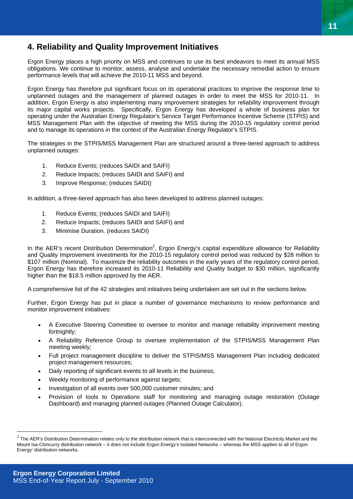# **4. Reliability and Quality Improvement Initiatives**

Ergon Energy places a high priority on MSS and continues to use its best endeavors to meet its annual MSS obligations. We continue to monitor, assess, analyse and undertake the necessary remedial action to ensure performance levels that will achieve the 2010-11 MSS and beyond.

Ergon Energy has therefore put significant focus on its operational practices to improve the response time to unplanned outages and the management of planned outages in order to meet the MSS for 2010-11. In addition, Ergon Energy is also implementing many improvement strategies for reliability improvement through its major capital works projects. Specifically, Ergon Energy has developed a whole of business plan for operating under the Australian Energy Regulator's Service Target Performance Incentive Scheme (STPIS) and MSS Management Plan with the objective of meeting the MSS during the 2010-15 regulatory control period and to manage its operations in the context of the Australian Energy Regulator's STPIS.

The strategies in the STPIS/MSS Management Plan are structured around a three-tiered approach to address unplanned outages:

- 1. Reduce Events; (reduces SAIDI and SAIFI)
- 2. Reduce Impacts; (reduces SAIDI and SAIFI) and
- 3. Improve Response; (reduces SAIDI)

In addition, a three-tiered approach has also been developed to address planned outages:

- 1. Reduce Events; (reduces SAIDI and SAIFI)
- 2. Reduce Impacts; (reduces SAIDI and SAIFI) and
- 3. Minimise Duration. (reduces SAIDI)

In the AER's recent Distribution Determination<sup>2</sup>, Ergon Energy's capital expenditure allowance for Reliability and Quality Improvement investments for the 2010-15 regulatory control period was reduced by \$28 million to \$107 million (Nominal). To maximize the reliability outcomes in the early years of the regulatory control period, Ergon Energy has therefore increased its 2010-11 Reliability and Quality budget to \$30 million, significantly higher than the \$18.5 million approved by the AER.

A comprehensive list of the 42 strategies and initiatives being undertaken are set out in the sections below.

Further, Ergon Energy has put in place a number of governance mechanisms to review performance and monitor improvement initiatives:

- A Executive Steering Committee to oversee to monitor and manage reliability improvement meeting fortnightly;
- A Reliability Reference Group to oversee implementation of the STPIS/MSS Management Plan meeting weekly;
- Full project management discipline to deliver the STPIS/MSS Management Plan including dedicated project management resources;
- Daily reporting of significant events to all levels in the business;
- Weekly monitoring of performance against targets;
- Investigation of all events over 500,000 customer minutes; and
- Provision of tools to Operations staff for monitoring and managing outage restoration (Outage Dashboard) and managing planned outages (Planned Outage Calculator).

 $\overline{a}$ 

 $2$  The AER's Distribution Determination relates only to the distribution network that is interconnected with the National Electricity Market and the Mount Isa-Cloncurry distribution network – it does not include Ergon Energy's Isolated Networks – whereas the MSS applies to all of Ergon Energy' distribution networks.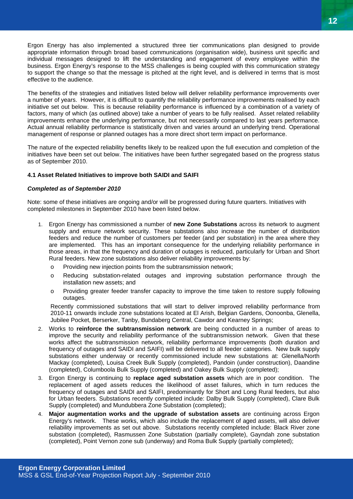Ergon Energy has also implemented a structured three tier communications plan designed to provide appropriate information through broad based communications (organisation wide), business unit specific and individual messages designed to lift the understanding and engagement of every employee within the business. Ergon Energy's response to the MSS challenges is being coupled with this communication strategy to support the change so that the message is pitched at the right level, and is delivered in terms that is most effective to the audience.

The benefits of the strategies and initiatives listed below will deliver reliability performance improvements over a number of years. However, it is difficult to quantify the reliability performance improvements realised by each initiative set out below. This is because reliability performance is influenced by a combination of a variety of factors, many of which (as outlined above) take a number of years to be fully realised. Asset related reliability improvements enhance the underlying performance, but not necessarily compared to last years performance. Actual annual reliability performance is statistically driven and varies around an underlying trend. Operational management of response or planned outages has a more direct short term impact on performance.

The nature of the expected reliability benefits likely to be realized upon the full execution and completion of the initiatives have been set out below. The initiatives have been further segregated based on the progress status as of September 2010.

#### **4.1 Asset Related Initiatives to improve both SAIDI and SAIFI**

#### *Completed as of September 2010*

Note: some of these initiatives are ongoing and/or will be progressed during future quarters. Initiatives with completed milestones in September 2010 have been listed below.

- 1. Ergon Energy has commissioned a number of **new Zone Substations** across its network to augment supply and ensure network security. These substations also increase the number of distribution feeders and reduce the number of customers per feeder (and per substation) in the area where they are implemented. This has an important consequence for the underlying reliability performance in those areas, in that the frequency and duration of outages is reduced, particularly for Urban and Short Rural feeders. New zone substations also deliver reliability improvements by:
	- o Providing new injection points from the subtransmission network;
	- o Reducing substation-related outages and improving substation performance through the installation new assets; and
	- o Providing greater feeder transfer capacity to improve the time taken to restore supply following outages.

Recently commissioned substations that will start to deliver improved reliability performance from 2010-11 onwards include zone substations located at El Arish, Belgian Gardens, Oonoonba, Glenella, Jubilee Pocket, Berserker, Tanby, Bundaberg Central, Cawdor and Kearney Springs;

- 2. Works to **reinforce the subtransmission network** are being conducted in a number of areas to improve the security and reliability performance of the subtransmission network. Given that these works affect the subtransmission network, reliability performance improvements (both duration and frequency of outages and SAIDI and SAIFI) will be delivered to all feeder categories. New bulk supply substations either underway or recently commissioned include new substations at: Glenella/North Mackay (completed), Louisa Creek Bulk Supply (completed), Pandoin (under construction), Daandine (completed), Columboola Bulk Supply (completed) and Oakey Bulk Supply (completed);
- 3. Ergon Energy is continuing to **replace aged substation assets** which are in poor condition. The replacement of aged assets reduces the likelihood of asset failures, which in turn reduces the frequency of outages and SAIDI and SAIFI, predominantly for Short and Long Rural feeders, but also for Urban feeders. Substations recently completed include: Dalby Bulk Supply (completed), Clare Bulk Supply (completed) and Mundubbera Zone Substation (completed);
- 4. **Major augmentation works and the upgrade of substation assets** are continuing across Ergon Energy's network. These works, which also include the replacement of aged assets, will also deliver reliability improvements as set out above. Substations recently completed include: Black River zone substation (completed), Rasmussen Zone Substation (partially complete), Gayndah zone substation (completed), Point Vernon zone sub (underway) and Roma Bulk Supply (partially completed);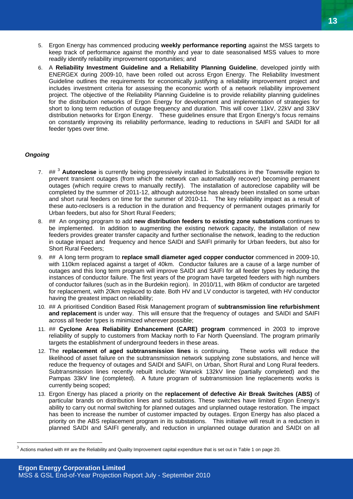- 5. Ergon Energy has commenced producing **weekly performance reporting** against the MSS targets to keep track of performance against the monthly and year to date seasonalised MSS values to more readily identify reliability improvement opportunities; and
- 6. A **Reliability Investment Guideline and a Reliability Planning Guideline**, developed jointly with ENERGEX during 2009-10, have been rolled out across Ergon Energy. The Reliability Investment Guideline outlines the requirements for economically justifying a reliability improvement project and includes investment criteria for assessing the economic worth of a network reliability improvement project. The objective of the Reliability Planning Guideline is to provide reliability planning guidelines for the distribution networks of Ergon Energy for development and implementation of strategies for short to long term reduction of outage frequency and duration. This will cover 11kV, 22kV and 33kV distribution networks for Ergon Energy. These guidelines ensure that Ergon Energy's focus remains on constantly improving its reliability performance, leading to reductions in SAIFI and SAIDI for all feeder types over time.

#### *Ongoing*

 $\overline{a}$ 

- 7. ## <sup>3</sup> **Autoreclose** is currently being progressively installed in Substations in the Townsville region to prevent transient outages (from which the network can automatically recover) becoming permanent outages (which require crews to manually rectify). The installation of autoreclose capability will be completed by the summer of 2011-12, although autoreclose has already been installed on some urban and short rural feeders on time for the summer of 2010-11. The key reliability impact as a result of these auto-reclosers is a reduction in the duration and frequency of permanent outages primarily for Urban feeders, but also for Short Rural Feeders;
- 8. ## An ongoing program to add **new distribution feeders to existing zone substations** continues to be implemented. In addition to augmenting the existing network capacity, the installation of new feeders provides greater transfer capacity and further sectionalise the network, leading to the reduction in outage impact and frequency and hence SAIDI and SAIFI primarily for Urban feeders, but also for Short Rural Feeders;
- 9. ## A long term program to **replace small diameter aged copper conductor** commenced in 2009-10, with 110km replaced against a target of 40km. Conductor failures are a cause of a large number of outages and this long term program will improve SAIDI and SAIFI for all feeder types by reducing the instances of conductor failure. The first years of the program have targeted feeders with high numbers of conductor failures (such as in the Burdekin region). In 2010/11, with 86km of conductor are targeted for replacement, with 20km replaced to date. Both HV and LV conductor is targeted, with HV conductor having the greatest impact on reliability;
- 10. ## A prioritised Condition Based Risk Management program of **subtransmission line refurbishment and replacement** is under way. This will ensure that the frequency of outages and SAIDI and SAIFI across all feeder types is minimized wherever possible;
- 11. ## **Cyclone Area Reliability Enhancement (CARE) program** commenced in 2003 to improve reliability of supply to customers from Mackay north to Far North Queensland. The program primarily targets the establishment of underground feeders in these areas.
- 12. The **replacement of aged subtransmission lines** is continuing. These works will reduce the likelihood of asset failure on the subtransmission network supplying zone substations, and hence will reduce the frequency of outages and SAIDI and SAIFI, on Urban, Short Rural and Long Rural feeders. Subtransmission lines recently rebuilt include: Warwick 132kV line (partially completed) and the Pampas 33kV line (completed). A future program of subtransmission line replacements works is currently being scoped;
- 13. Ergon Energy has placed a priority on the **replacement of defective Air Break Switches (ABS)** of particular brands on distribution lines and substations. These switches have limited Ergon Energy's ability to carry out normal switching for planned outages and unplanned outage restoration. The impact has been to increase the number of customer impacted by outages. Ergon Energy has also placed a priority on the ABS replacement program in its substations. This initiative will result in a reduction in planned SAIDI and SAIFI generally, and reduction in unplanned outage duration and SAIDI on all

 $3$  Actions marked with  $\#$  are the Reliability and Quality Improvement capital expenditure that is set out in Table 1 on page 20.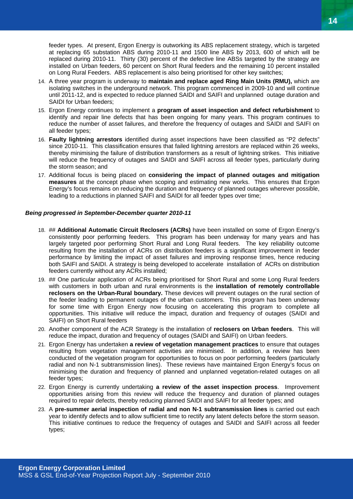feeder types. At present, Ergon Energy is outworking its ABS replacement strategy, which is targeted at replacing 65 substation ABS during 2010-11 and 1500 line ABS by 2013, 600 of which will be replaced during 2010-11. Thirty (30) percent of the defective line ABSs targeted by the strategy are installed on Urban feeders, 60 percent on Short Rural feeders and the remaining 10 percent installed on Long Rural Feeders. ABS replacement is also being prioritised for other key switches;

- 14. A three year program is underway to **maintain and replace aged Ring Main Units (RMU),** which are isolating switches in the underground network. This program commenced in 2009-10 and will continue until 2011-12, and is expected to reduce planned SAIDI and SAIFI and unplanned outage duration and SAIDI for Urban feeders;
- 15. Ergon Energy continues to implement a **program of asset inspection and defect refurbishment** to identify and repair line defects that has been ongoing for many years. This program continues to reduce the number of asset failures, and therefore the frequency of outages and SAIDI and SAIFI on all feeder types;
- 16. **Faulty lightning arrestors** identified during asset inspections have been classified as "P2 defects" since 2010-11. This classification ensures that failed lightning arrestors are replaced within 26 weeks, thereby minimising the failure of distribution transformers as a result of lightning strikes. This initiative will reduce the frequency of outages and SAIDI and SAIFI across all feeder types, particularly during the storm season; and
- 17. Additional focus is being placed on **considering the impact of planned outages and mitigation measures** at the concept phase when scoping and estimating new works. This ensures that Ergon Energy's focus remains on reducing the duration and frequency of planned outages wherever possible, leading to a reductions in planned SAIFI and SAIDI for all feeder types over time;

#### *Being progressed in September-December quarter 2010-11*

- 18. ## **Additional Automatic Circuit Reclosers (ACRs)** have been installed on some of Ergon Energy's consistently poor performing feeders. This program has been underway for many years and has largely targeted poor performing Short Rural and Long Rural feeders. The key reliability outcome resulting from the installation of ACRs on distribution feeders is a significant improvement in feeder performance by limiting the impact of asset failures and improving response times, hence reducing both SAIFI and SAIDI. A strategy is being developed to accelerate installation of ACRs on distribution feeders currently without any ACRs installed;
- 19. ## One particular application of ACRs being prioritised for Short Rural and some Long Rural feeders with customers in both urban and rural environments is the **installation of remotely controllable reclosers on the Urban-Rural boundary.** These devices will prevent outages on the rural section of the feeder leading to permanent outages of the urban customers. This program has been underway for some time with Ergon Energy now focusing on accelerating this program to complete all opportunities. This initiative will reduce the impact, duration and frequency of outages (SAIDI and SAIFI) on Short Rural feeders
- 20. Another component of the ACR Strategy is the installation of **reclosers on Urban feeders**. This will reduce the impact, duration and frequency of outages (SAIDI and SAIFI) on Urban feeders.
- 21. Ergon Energy has undertaken **a review of vegetation management practices** to ensure that outages resulting from vegetation management activities are minimised. In addition, a review has been conducted of the vegetation program for opportunities to focus on poor performing feeders (particularly radial and non N-1 subtransmission lines). These reviews have maintained Ergon Energy's focus on minimising the duration and frequency of planned and unplanned vegetation-related outages on all feeder types;
- 22. Ergon Energy is currently undertaking **a review of the asset inspection process**. Improvement opportunities arising from this review will reduce the frequency and duration of planned outages required to repair defects, thereby reducing planned SAIDI and SAIFI for all feeder types; and
- 23. A **pre-summer aerial inspection of radial and non N-1 subtransmission lines** is carried out each year to identify defects and to allow sufficient time to rectify any latent defects before the storm season. This initiative continues to reduce the frequency of outages and SAIDI and SAIFI across all feeder types;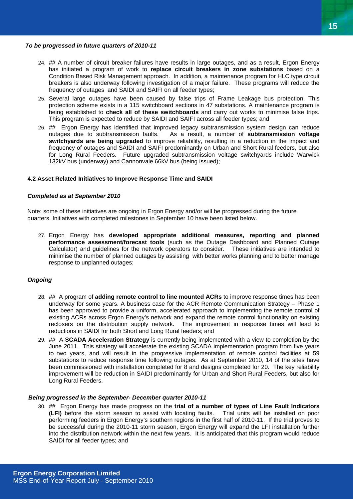#### *To be progressed in future quarters of 2010-11*

- 24. ## A number of circuit breaker failures have results in large outages, and as a result, Ergon Energy has initiated a program of work to **replace circuit breakers in zone substations** based on a Condition Based Risk Management approach. In addition, a maintenance program for HLC type circuit breakers is also underway following investigation of a major failure. These programs will reduce the frequency of outages and SAIDI and SAIFI on all feeder types;
- 25. Several large outages have been caused by false trips of Frame Leakage bus protection. This protection scheme exists in a 115 switchboard sections in 47 substations. A maintenance program is being established to **check all of these switchboards** and carry out works to minimise false trips. This program is expected to reduce by SAIDI and SAIFI across all feeder types; and
- 26. ## Ergon Energy has identified that improved legacy subtransmission system design can reduce outages due to subtransmission faults. As a result, a number of **subtransmission voltage switchyards are being upgraded** to improve reliability, resulting in a reduction in the impact and frequency of outages and SAIDI and SAIFI predominantly on Urban and Short Rural feeders, but also for Long Rural Feeders. Future upgraded subtransmission voltage switchyards include Warwick 132kV bus (underway) and Cannonvale 66kV bus (being issued);

#### **4.2 Asset Related Initiatives to Improve Response Time and SAIDI**

#### *Completed as at September 2010*

Note: some of these initiatives are ongoing in Ergon Energy and/or will be progressed during the future quarters. Initiatives with completed milestones in September 10 have been listed below.

27. Ergon Energy has **developed appropriate additional measures, reporting and planned performance assessment/forecast tools** (such as the Outage Dashboard and Planned Outage Calculator) and guidelines for the network operators to consider. These initiatives are intended to minimise the number of planned outages by assisting with better works planning and to better manage response to unplanned outages;

#### *Ongoing*

- 28. ## A program of **adding remote control to line mounted ACRs** to improve response times has been underway for some years. A business case for the ACR Remote Communication Strategy – Phase 1 has been approved to provide a uniform, accelerated approach to implementing the remote control of existing ACRs across Ergon Energy's network and expand the remote control functionality on existing reclosers on the distribution supply network. The improvement in response times will lead to reductions in SAIDI for both Short and Long Rural feeders; and
- 29. ## A **SCADA Acceleration Strategy** is currently being implemented with a view to completion by the June 2011. This strategy will accelerate the existing SCADA implementation program from five years to two years, and will result in the progressive implementation of remote control facilities at 59 substations to reduce response time following outages. As at September 2010, 14 of the sites have been commissioned with installation completed for 8 and designs completed for 20. The key reliability improvement will be reduction in SAIDI predominantly for Urban and Short Rural Feeders, but also for Long Rural Feeders.

#### *Being progressed in the September- December quarter 2010-11*

30. ## Ergon Energy has made progress on the **trial of a number of types of Line Fault Indicators (LFI)** before the storm season to assist with locating faults. Trial units will be installed on poor performing feeders in Ergon Energy's southern regions in the first half of 2010-11. If the trial proves to be successful during the 2010-11 storm season, Ergon Energy will expand the LFI installation further into the distribution network within the next few years. It is anticipated that this program would reduce SAIDI for all feeder types; and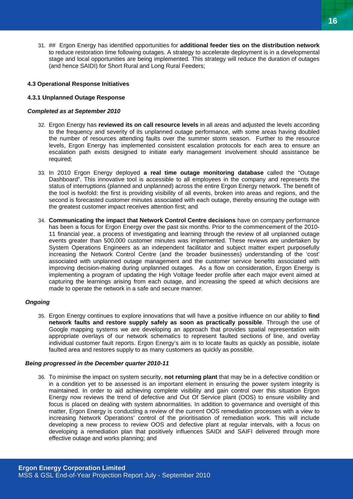31. ## Ergon Energy has identified opportunities for **additional feeder ties on the distribution network** to reduce restoration time following outages. A strategy to accelerate deployment is in a developmental stage and local opportunities are being implemented. This strategy will reduce the duration of outages (and hence SAIDI) for Short Rural and Long Rural Feeders;

#### **4.3 Operational Response Initiatives**

#### **4.3.1 Unplanned Outage Response**

#### *Completed as at September 2010*

- 32. Ergon Energy has **reviewed its on call resource levels** in all areas and adjusted the levels according to the frequency and severity of its unplanned outage performance, with some areas having doubled the number of resources attending faults over the summer storm season. Further to the resource levels, Ergon Energy has implemented consistent escalation protocols for each area to ensure an escalation path exists designed to initiate early management involvement should assistance be required;
- 33. In 2010 Ergon Energy deployed **a real time outage monitoring database** called the "Outage Dashboard". This innovative tool is accessible to all employees in the company and represents the status of interruptions (planned and unplanned) across the entire Ergon Energy network. The benefit of the tool is twofold: the first is providing visibility of all events, broken into areas and regions, and the second is forecasted customer minutes associated with each outage, thereby ensuring the outage with the greatest customer impact receives attention first; and
- 34. **Communicating the impact that Network Control Centre decisions** have on company performance has been a focus for Ergon Energy over the past six months. Prior to the commencement of the 2010- 11 financial year, a process of investigating and learning through the review of all unplanned outage events greater than 500,000 customer minutes was implemented. These reviews are undertaken by System Operations Engineers as an independent facilitator and subject matter expert purposefully increasing the Network Control Centre (and the broader businesses) understanding of the 'cost' associated with unplanned outage management and the customer service benefits associated with improving decision-making during unplanned outages. As a flow on consideration, Ergon Energy is implementing a program of updating the High Voltage feeder profile after each major event aimed at capturing the learnings arising from each outage, and increasing the speed at which decisions are made to operate the network in a safe and secure manner.

#### *Ongoing*

35. Ergon Energy continues to explore innovations that will have a positive influence on our ability to **find network faults and restore supply safely as soon as practically possible**. Through the use of Google mapping systems we are developing an approach that provides spatial representation with appropriate overlays of our network schematics to represent faulted sections of line, and overlay individual customer fault reports. Ergon Energy's aim is to locate faults as quickly as possible, isolate faulted area and restores supply to as many customers as quickly as possible.

#### *Being progressed in the December quarter 2010-11*

36. To minimise the impact on system security, **not returning plant** that may be in a defective condition or in a condition yet to be assessed is an important element in ensuring the power system integrity is maintained. In order to aid achieving complete visibility and gain control over this situation Ergon Energy now reviews the trend of defective and Out Of Service plant (OOS) to ensure visibility and focus is placed on dealing with system abnormalities. In addition to governance and oversight of this matter, Ergon Energy is conducting a review of the current OOS remediation processes with a view to increasing Network Operations' control of the prioritisation of remediation work. This will include developing a new process to review OOS and defective plant at regular intervals, with a focus on developing a remediation plan that positively influences SAIDI and SAIFI delivered through more effective outage and works planning; and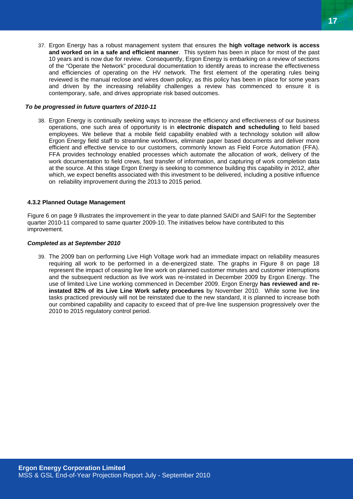37. Ergon Energy has a robust management system that ensures the **high voltage network is access and worked on in a safe and efficient manner**. This system has been in place for most of the past 10 years and is now due for review. Consequently, Ergon Energy is embarking on a review of sections of the "Operate the Network" procedural documentation to identify areas to increase the effectiveness and efficiencies of operating on the HV network. The first element of the operating rules being reviewed is the manual reclose and wires down policy, as this policy has been in place for some years and driven by the increasing reliability challenges a review has commenced to ensure it is contemporary, safe, and drives appropriate risk based outcomes.

#### *To be progressed in future quarters of 2010-11*

38. Ergon Energy is continually seeking ways to increase the efficiency and effectiveness of our business operations, one such area of opportunity is in **electronic dispatch and scheduling** to field based employees. We believe that a mobile field capability enabled with a technology solution will allow Ergon Energy field staff to streamline workflows, eliminate paper based documents and deliver more efficient and effective service to our customers, commonly known as Field Force Automation (FFA). FFA provides technology enabled processes which automate the allocation of work, delivery of the work documentation to field crews, fast transfer of information, and capturing of work completion data at the source. At this stage Ergon Energy is seeking to commence building this capability in 2012, after which, we expect benefits associated with this investment to be delivered, including a positive influence on reliability improvement during the 2013 to 2015 period.

#### **4.3.2 Planned Outage Management**

Figure 6 on page 9 illustrates the improvement in the year to date planned SAIDI and SAIFI for the September quarter 2010-11 compared to same quarter 2009-10. The initiatives below have contributed to this improvement.

#### *Completed as at September 2010*

39. The 2009 ban on performing Live High Voltage work had an immediate impact on reliability measures requiring all work to be performed in a de-energized state. The graphs in Figure 8 on page 18 represent the impact of ceasing live line work on planned customer minutes and customer interruptions and the subsequent reduction as live work was re-instated in December 2009 by Ergon Energy. The use of limited Live Line working commenced in December 2009. Ergon Energy **has reviewed and reinstated 82% of its Live Line Work safety procedures** by November 2010. While some live line tasks practiced previously will not be reinstated due to the new standard, it is planned to increase both our combined capability and capacity to exceed that of pre-live line suspension progressively over the 2010 to 2015 regulatory control period.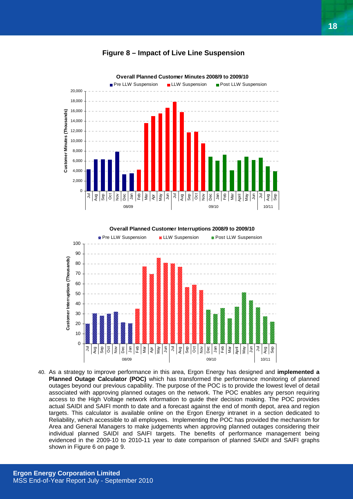



**Overall Planned Customer Interruptions 2008/9 to 2009/10**



40. As a strategy to improve performance in this area, Ergon Energy has designed and **implemented a Planned Outage Calculator (POC)** which has transformed the performance monitoring of planned outages beyond our previous capability. The purpose of the POC is to provide the lowest level of detail associated with approving planned outages on the network. The POC enables any person requiring access to the High Voltage network information to guide their decision making. The POC provides actual SAIDI and SAIFI month to date and a forecast against the end of month depot, area and region targets. This calculator is available online on the Ergon Energy intranet in a section dedicated to Reliability, which accessible to all employees. Implementing the POC has provided the mechanism for Area and General Managers to make judgements when approving planned outages considering their individual planned SAIDI and SAIFI targets. The benefits of performance management being evidenced in the 2009-10 to 2010-11 year to date comparison of planned SAIDI and SAIFI graphs shown in Figure 6 on page 9.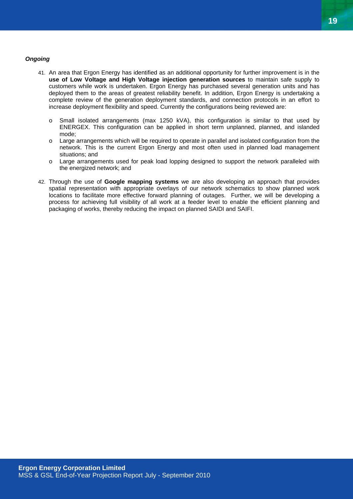#### *Ongoing*

- 41. An area that Ergon Energy has identified as an additional opportunity for further improvement is in the **use of Low Voltage and High Voltage injection generation sources** to maintain safe supply to customers while work is undertaken. Ergon Energy has purchased several generation units and has deployed them to the areas of greatest reliability benefit. In addition, Ergon Energy is undertaking a complete review of the generation deployment standards, and connection protocols in an effort to increase deployment flexibility and speed. Currently the configurations being reviewed are:
	- o Small isolated arrangements (max 1250 kVA), this configuration is similar to that used by ENERGEX. This configuration can be applied in short term unplanned, planned, and islanded mode;
	- $\circ$  Large arrangements which will be required to operate in parallel and isolated configuration from the network. This is the current Ergon Energy and most often used in planned load management situations; and
	- o Large arrangements used for peak load lopping designed to support the network paralleled with the energized network; and
- 42. Through the use of **Google mapping systems** we are also developing an approach that provides spatial representation with appropriate overlays of our network schematics to show planned work locations to facilitate more effective forward planning of outages. Further, we will be developing a process for achieving full visibility of all work at a feeder level to enable the efficient planning and packaging of works, thereby reducing the impact on planned SAIDI and SAIFI.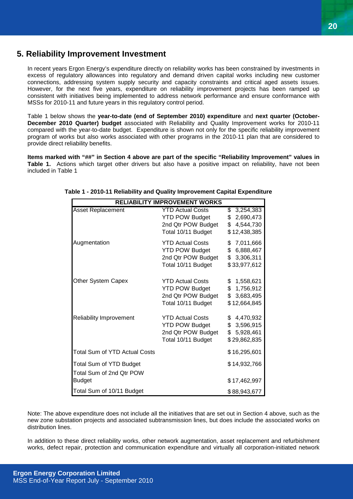# **5. Reliability Improvement Investment**

In recent years Ergon Energy's expenditure directly on reliability works has been constrained by investments in excess of regulatory allowances into regulatory and demand driven capital works including new customer connections, addressing system supply security and capacity constraints and critical aged assets issues. However, for the next five years, expenditure on reliability improvement projects has been ramped up consistent with initiatives being implemented to address network performance and ensure conformance with MSSs for 2010-11 and future years in this regulatory control period.

Table 1 below shows the **year-to-date (end of September 2010) expenditure** and **next quarter (October-December 2010 Quarter) budget** associated with Reliability and Quality Improvement works for 2010-11 compared with the year-to-date budget. Expenditure is shown not only for the specific reliability improvement program of works but also works associated with other programs in the 2010-11 plan that are considered to provide direct reliability benefits.

**Items marked with "##" in Section 4 above are part of the specific "Reliability Improvement" values in**  Table 1. Actions which target other drivers but also have a positive impact on reliability, have not been included in Table 1

| <b>RELIABILITY IMPROVEMENT WORKS</b>                       |                                                                                              |                                                                      |
|------------------------------------------------------------|----------------------------------------------------------------------------------------------|----------------------------------------------------------------------|
| <b>Asset Replacement</b>                                   | <b>YTD Actual Costs</b><br><b>YTD POW Budget</b><br>2nd Qtr POW Budget<br>Total 10/11 Budget | $\overline{3,254,383}$<br>\$2,690,473<br>\$4,544,730<br>\$12,438,385 |
| Augmentation                                               | <b>YTD Actual Costs</b><br><b>YTD POW Budget</b><br>2nd Qtr POW Budget<br>Total 10/11 Budget | \$7,011,666<br>\$6,888,467<br>\$3,306,311<br>\$33,977,612            |
| Other System Capex                                         | <b>YTD Actual Costs</b><br><b>YTD POW Budget</b><br>2nd Qtr POW Budget<br>Total 10/11 Budget | \$1,558,621<br>\$1,756,912<br>\$3,683,495<br>\$12,664,845            |
| <b>Reliability Improvement</b>                             | <b>YTD Actual Costs</b><br><b>YTD POW Budget</b><br>2nd Qtr POW Budget<br>Total 10/11 Budget | \$4,470,932<br>\$3,596,915<br>\$5,928,461<br>\$29,862,835            |
| <b>Total Sum of YTD Actual Costs</b>                       |                                                                                              | \$16,295,601                                                         |
| <b>Total Sum of YTD Budget</b><br>Total Sum of 2nd Qtr POW |                                                                                              | \$14,932,766                                                         |
| <b>Budget</b>                                              |                                                                                              | \$17,462,997                                                         |
| Total Sum of 10/11 Budget                                  |                                                                                              | \$88,943,677                                                         |

#### **Table 1 - 2010-11 Reliability and Quality Improvement Capital Expenditure**

Note: The above expenditure does not include all the initiatives that are set out in Section 4 above, such as the new zone substation projects and associated subtransmission lines, but does include the associated works on distribution lines.

In addition to these direct reliability works, other network augmentation, asset replacement and refurbishment works, defect repair, protection and communication expenditure and virtually all corporation-initiated network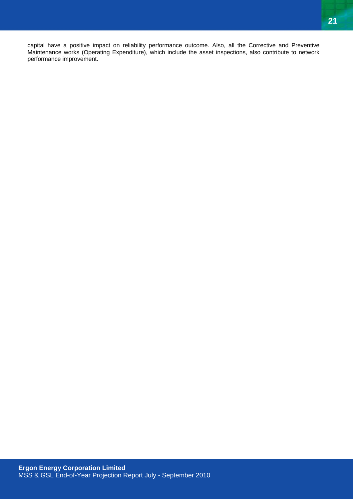capital have a positive impact on reliability performance outcome. Also, all the Corrective and Preventive Maintenance works (Operating Expenditure), which include the asset inspections, also contribute to network performance improvement.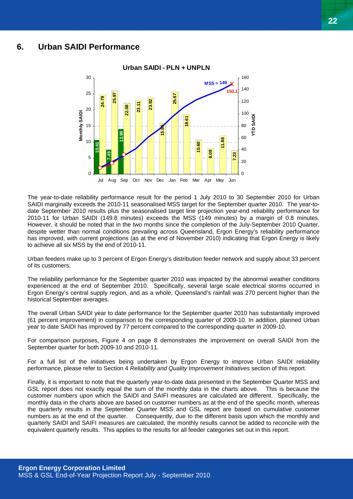### **6. Urban SAIDI Performance**



The year-to-date reliability performance result for the period 1 July 2010 to 30 September 2010 for Urban SAIDI marginally exceeds the 2010-11 seasonalised MSS target for the September quarter 2010. The year-todate September 2010 results plus the seasonalised target line projection year-end reliability performance for 2010-11 for Urban SAIDI (149.8 minutes) exceeds the MSS (149 minutes) by a margin of 0.8 minutes. However, it should be noted that in the two months since the completion of the July-September 2010 Quarter, despite wetter than normal conditions prevailing across Queensland, Ergon Energy's reliability performance has improved, with current projections (as at the end of November 2010) indicating that Ergon Energy is likely to achieve all six MSS by the end of 2010-11.

Urban feeders make up to 3 percent of Ergon Energy's distribution feeder network and supply about 33 percent of its customers.

The reliability performance for the September quarter 2010 was impacted by the abnormal weather conditions experienced at the end of September 2010. Specifically, several large scale electrical storms occurred in Ergon Energy's central supply region, and as a whole, Queensland's rainfall was 270 percent higher than the historical September averages.

The overall Urban SAIDI year to date performance for the September quarter 2010 has substantially improved (61 percent improvement) in comparison to the corresponding quarter of 2009-10. In addition, planned Urban year to date SAIDI has improved by 77 percent compared to the corresponding quarter in 2009-10.

For comparison purposes, Figure 4 on page 8 demonstrates the improvement on overall SAIDI from the September quarter for both 2009-10 and 2010-11.

For a full list of the initiatives being undertaken by Ergon Energy to improve Urban SAIDI reliability performance, please refer to Section 4 *Reliability and Quality Improvement Initiatives* section of this report.

Finally, it is important to note that the quarterly year-to-date data presented in the September Quarter MSS and GSL report does not exactly equal the sum of the monthly data in the charts above. This is because the customer numbers upon which the SAIDI and SAIFI measures are calculated are different. Specifically, the monthly data in the charts above are based on customer numbers as at the end of the specific month, whereas the quarterly results in the September Quarter MSS and GSL report are based on cumulative customer numbers as at the end of the quarter. Consequently, due to the different basis upon which the monthly and quarterly SAIDI and SAIFI measures are calculated, the monthly results cannot be added to reconcile with the equivalent quarterly results. This applies to the results for all feeder categories set out in this report.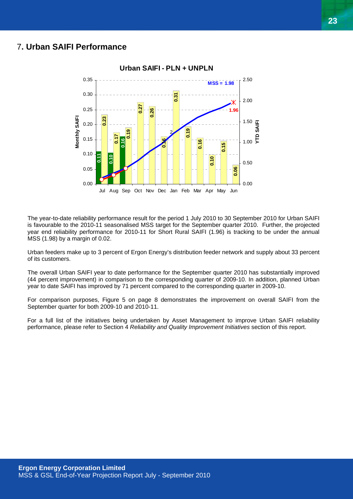## 7**. Urban SAIFI Performance**



The year-to-date reliability performance result for the period 1 July 2010 to 30 September 2010 for Urban SAIFI is favourable to the 2010-11 seasonalised MSS target for the September quarter 2010. Further, the projected year end reliability performance for 2010-11 for Short Rural SAIFI (1.96) is tracking to be under the annual MSS (1.98) by a margin of 0.02.

Urban feeders make up to 3 percent of Ergon Energy's distribution feeder network and supply about 33 percent of its customers.

The overall Urban SAIFI year to date performance for the September quarter 2010 has substantially improved (44 percent improvement) in comparison to the corresponding quarter of 2009-10. In addition, planned Urban year to date SAIFI has improved by 71 percent compared to the corresponding quarter in 2009-10.

For comparison purposes, Figure 5 on page 8 demonstrates the improvement on overall SAIFI from the September quarter for both 2009-10 and 2010-11.

For a full list of the initiatives being undertaken by Asset Management to improve Urban SAIFI reliability performance, please refer to Section 4 *Reliability and Quality Improvement Initiatives* section of this report.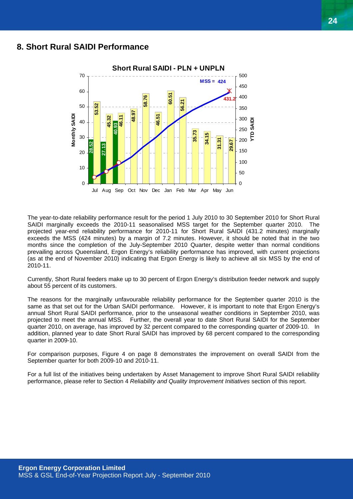## **8. Short Rural SAIDI Performance**



The year-to-date reliability performance result for the period 1 July 2010 to 30 September 2010 for Short Rural SAIDI marginally exceeds the 2010-11 seasonalised MSS target for the September quarter 2010. The projected year-end reliability performance for 2010-11 for Short Rural SAIDI (431.2 minutes) marginally exceeds the MSS (424 minutes) by a margin of 7.2 minutes. However, it should be noted that in the two months since the completion of the July-September 2010 Quarter, despite wetter than normal conditions prevailing across Queensland, Ergon Energy's reliability performance has improved, with current projections (as at the end of November 2010) indicating that Ergon Energy is likely to achieve all six MSS by the end of 2010-11.

Currently, Short Rural feeders make up to 30 percent of Ergon Energy's distribution feeder network and supply about 55 percent of its customers.

The reasons for the marginally unfavourable reliability performance for the September quarter 2010 is the same as that set out for the Urban SAIDI performance. However, it is important to note that Ergon Energy's annual Short Rural SAIDI performance, prior to the unseasonal weather conditions in September 2010, was projected to meet the annual MSS. Further, the overall year to date Short Rural SAIDI for the September quarter 2010, on average, has improved by 32 percent compared to the corresponding quarter of 2009-10. In addition, planned year to date Short Rural SAIDI has improved by 68 percent compared to the corresponding quarter in 2009-10.

For comparison purposes, Figure 4 on page 8 demonstrates the improvement on overall SAIDI from the September quarter for both 2009-10 and 2010-11.

For a full list of the initiatives being undertaken by Asset Management to improve Short Rural SAIDI reliability performance, please refer to Section 4 *Reliability and Quality Improvement Initiatives* section of this report.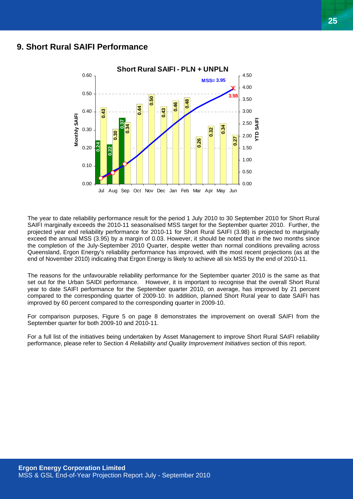## **9. Short Rural SAIFI Performance**



The year to date reliability performance result for the period 1 July 2010 to 30 September 2010 for Short Rural SAIFI marginally exceeds the 2010-11 seasonalised MSS target for the September quarter 2010. Further, the projected year end reliability performance for 2010-11 for Short Rural SAIFI (3.98) is projected to marginally exceed the annual MSS (3.95) by a margin of 0.03. However, it should be noted that in the two months since the completion of the July-September 2010 Quarter, despite wetter than normal conditions prevailing across Queensland, Ergon Energy's reliability performance has improved, with the most recent projections (as at the end of November 2010) indicating that Ergon Energy is likely to achieve all six MSS by the end of 2010-11.

The reasons for the unfavourable reliability performance for the September quarter 2010 is the same as that set out for the Urban SAIDI performance. However, it is important to recognise that the overall Short Rural year to date SAIFI performance for the September quarter 2010, on average, has improved by 21 percent compared to the corresponding quarter of 2009-10. In addition, planned Short Rural year to date SAIFI has improved by 60 percent compared to the corresponding quarter in 2009-10.

For comparison purposes, Figure 5 on page 8 demonstrates the improvement on overall SAIFI from the September quarter for both 2009-10 and 2010-11.

For a full list of the initiatives being undertaken by Asset Management to improve Short Rural SAIFI reliability performance, please refer to Section 4 *Reliability and Quality Improvement Initiatives* section of this report.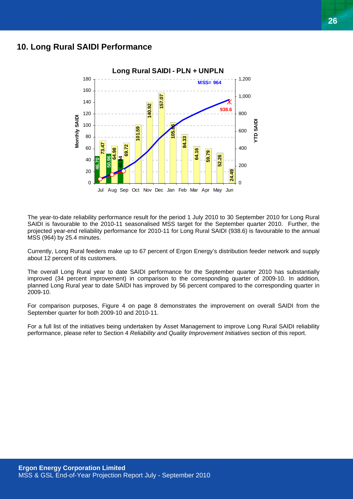## **10. Long Rural SAIDI Performance**



The year-to-date reliability performance result for the period 1 July 2010 to 30 September 2010 for Long Rural SAIDI is favourable to the 2010-11 seasonalised MSS target for the September quarter 2010. Further, the projected year-end reliability performance for 2010-11 for Long Rural SAIDI (938.6) is favourable to the annual MSS (964) by 25.4 minutes.

Currently, Long Rural feeders make up to 67 percent of Ergon Energy's distribution feeder network and supply about 12 percent of its customers.

The overall Long Rural year to date SAIDI performance for the September quarter 2010 has substantially improved (34 percent improvement) in comparison to the corresponding quarter of 2009-10. In addition, planned Long Rural year to date SAIDI has improved by 56 percent compared to the corresponding quarter in 2009-10.

For comparison purposes, Figure 4 on page 8 demonstrates the improvement on overall SAIDI from the September quarter for both 2009-10 and 2010-11.

For a full list of the initiatives being undertaken by Asset Management to improve Long Rural SAIDI reliability performance, please refer to Section 4 *Reliability and Quality Improvement Initiatives* section of this report.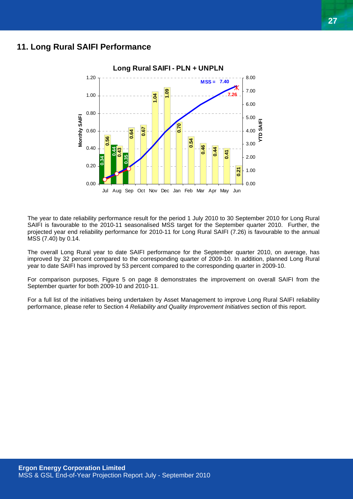## **11. Long Rural SAIFI Performance**



The year to date reliability performance result for the period 1 July 2010 to 30 September 2010 for Long Rural SAIFI is favourable to the 2010-11 seasonalised MSS target for the September quarter 2010. Further, the projected year end reliability performance for 2010-11 for Long Rural SAIFI (7.26) is favourable to the annual MSS (7.40) by 0.14.

The overall Long Rural year to date SAIFI performance for the September quarter 2010, on average, has improved by 32 percent compared to the corresponding quarter of 2009-10. In addition, planned Long Rural year to date SAIFI has improved by 53 percent compared to the corresponding quarter in 2009-10.

For comparison purposes, Figure 5 on page 8 demonstrates the improvement on overall SAIFI from the September quarter for both 2009-10 and 2010-11.

For a full list of the initiatives being undertaken by Asset Management to improve Long Rural SAIFI reliability performance, please refer to Section 4 *Reliability and Quality Improvement Initiatives* section of this report.